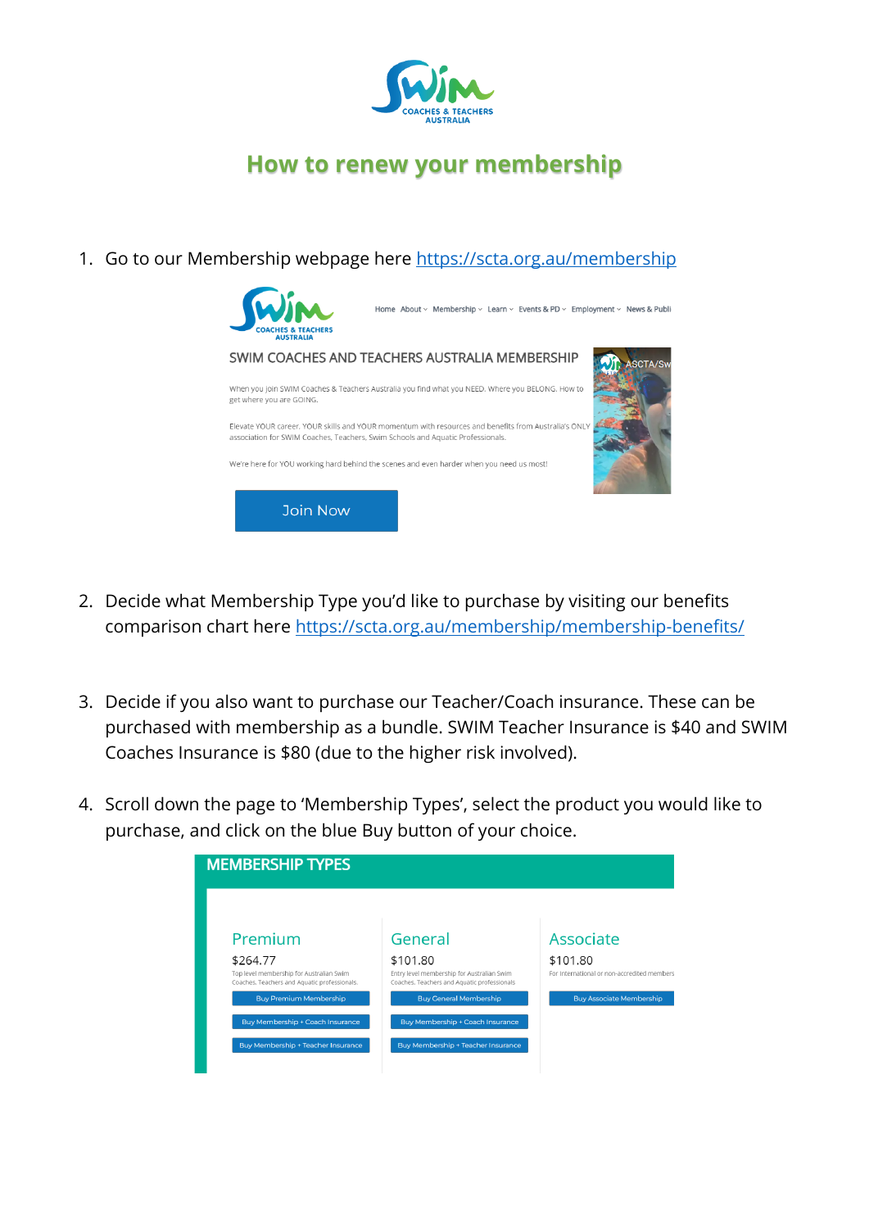

## **How to renew your membership**

1. Go to our Membership webpage here<https://scta.org.au/membership>



- 2. Decide what Membership Type you'd like to purchase by visiting our benefits comparison chart here<https://scta.org.au/membership/membership-benefits/>
- 3. Decide if you also want to purchase our Teacher/Coach insurance. These can be purchased with membership as a bundle. SWIM Teacher Insurance is \$40 and SWIM Coaches Insurance is \$80 (due to the higher risk involved).
- 4. Scroll down the page to 'Membership Types', select the product you would like to purchase, and click on the blue Buy button of your choice.

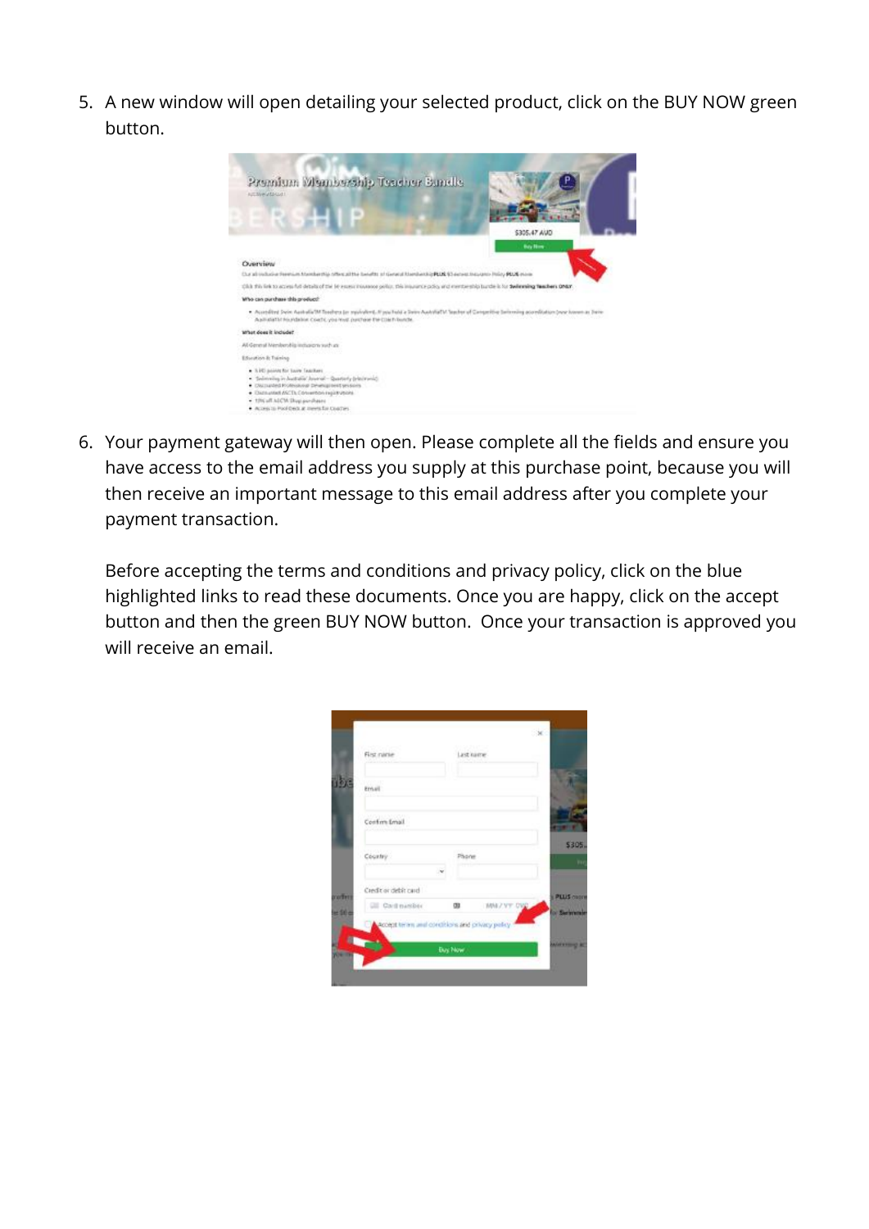5. A new window will open detailing your selected product, click on the BUY NOW green button.



6. Your payment gateway will then open. Please complete all the fields and ensure you have access to the email address you supply at this purchase point, because you will then receive an important message to this email address after you complete your payment transaction.

Before accepting the terms and conditions and privacy policy, click on the blue highlighted links to read these documents. Once you are happy, click on the accept button and then the green BUY NOW button. Once your transaction is approved you will receive an email.

|                           | Last kame                     |
|---------------------------|-------------------------------|
| Ernall                    |                               |
| Confirm Email             |                               |
| Country                   | Phone                         |
| Credit or debit card      | PLUS CODE                     |
| <b>CIII</b> Card massless | MNIZYT DVD<br>œ<br>o Serienni |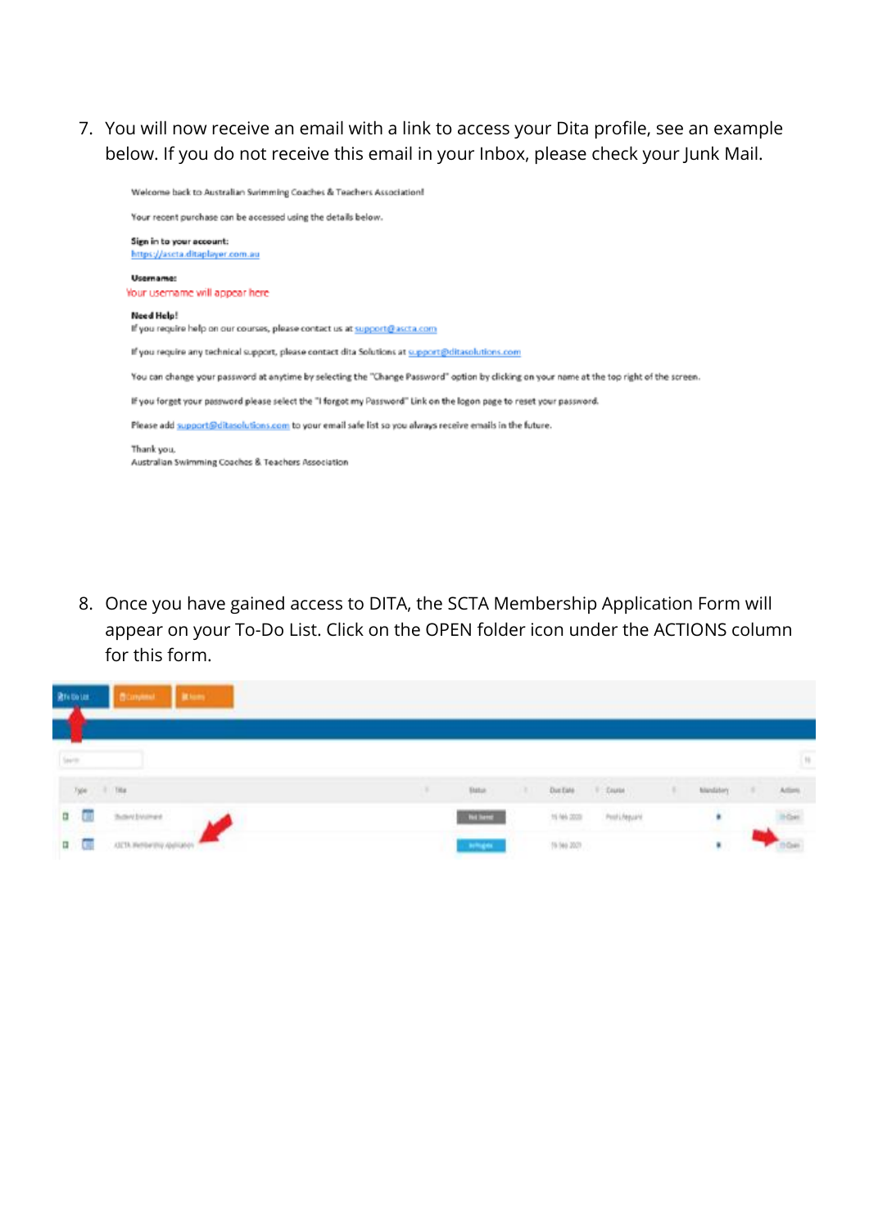7. You will now receive an email with a link to access your Dita profile, see an example below. If you do not receive this email in your Inbox, please check your Junk Mail.

Welcome back to Australian Swimming Coaches & Teachers Association!

Your recent purchase can be accessed using the details below. Sign in to your account: https://ascta.ditaplayer.com.au Usemame: Your username will appear here Need Help! If you require help on our courses, please contact us at support@ascta.com If you require any technical support, please contact dita Solutions at support@ditasolutions.com You can change your password at anytime by selecting the "Change Password" option by clicking on your name at the top right of the screen. If you forget your password please select the "I forgot my Password" Link on the logon page to reset your password. Please add support@ditasolutions.com to your email safe list so you always receive emails in the future. Thank you, Australian Swimming Coaches & Teachers Association

8. Once you have gained access to DITA, the SCTA Membership Application Form will appear on your To-Do List. Click on the OPEN folder icon under the ACTIONS column for this form.

| <b>R</b> TVTDLIN<br>$\mathbf{r}$<br><b>Surprise</b>               |                 |   |               |                                                                                              |         |                             |
|-------------------------------------------------------------------|-----------------|---|---------------|----------------------------------------------------------------------------------------------|---------|-----------------------------|
|                                                                   |                 |   |               |                                                                                              |         |                             |
| Seine                                                             |                 |   |               |                                                                                              |         | $\left\vert 1\right\rangle$ |
| $\frac{1}{2} \frac{d}{dt}$<br>$\sim$ 1.000                        | <b>Bate</b>     | л | Dut fale      | $\left\langle \left\langle \left\langle \right\rangle \right\rangle \right\rangle$ . David ( | timiter |                             |
| hortener<br>$\begin{array}{c} \mathbf{B}^{\top} \end{array}$<br>U | <b>Bellieve</b> |   | $16.046$ 2003 | Proti/Apparel                                                                                | ٠       | $\frac{1}{2}$               |
| $\mathfrak{m}$<br>Π                                               | <b>START</b>    |   | (6.94, 20)    |                                                                                              |         |                             |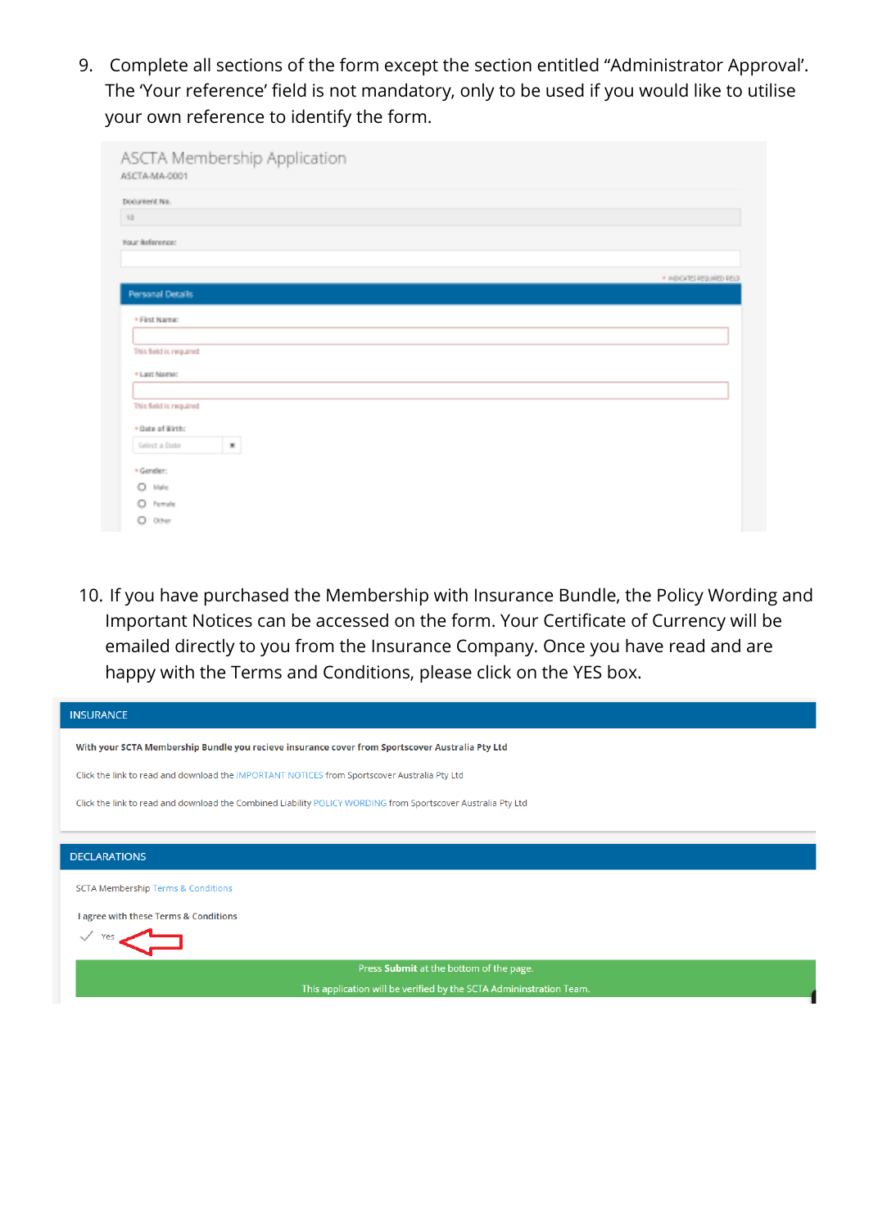9. Complete all sections of the form except the section entitled "Administrator Approval'. The 'Your reference' field is not mandatory, only to be used if you would like to utilise your own reference to identify the form.

| ASCTA Membership Application<br>ASCTA-MA-0001 |                           |
|-----------------------------------------------|---------------------------|
| Document No.                                  |                           |
| 10                                            |                           |
| Your Reference:                               |                           |
|                                               |                           |
|                                               | * INDICATES REQUIRED RELD |
| Personal Details                              |                           |
| · First Name:                                 |                           |
|                                               |                           |
| This field is required                        |                           |
| * Last Mame:                                  |                           |
|                                               |                           |
| This field is required                        |                           |
| · Date of Birth:                              |                           |
| $\mathbf{x}$<br>Salect a Date                 |                           |
| * Gender:                                     |                           |
| o<br>Male                                     |                           |
| Female<br>o                                   |                           |
| o<br>Other                                    |                           |

10. If you have purchased the Membership with Insurance Bundle, the Policy Wording and Important Notices can be accessed on the form. Your Certificate of Currency will be emailed directly to you from the Insurance Company. Once you have read and are happy with the Terms and Conditions, please click on the YES box.

| <b>INSURANCE</b>                                                                                             |
|--------------------------------------------------------------------------------------------------------------|
| With your SCTA Membership Bundle you recieve insurance cover from Sportscover Australia Pty Ltd              |
| Click the link to read and download the IMPORTANT NOTICES from Sportscover Australia Pty Ltd                 |
| Click the link to read and download the Combined Liability POLICY WORDING from Sportscover Australia Pty Ltd |
|                                                                                                              |
| <b>DECLARATIONS</b>                                                                                          |
| <b>SCTA Membership Terms &amp; Conditions</b>                                                                |
| I agree with these Terms & Conditions                                                                        |
| Yes                                                                                                          |
| Press Submit at the bottom of the page.                                                                      |
| This application will be verified by the SCTA Admininstration Team.                                          |